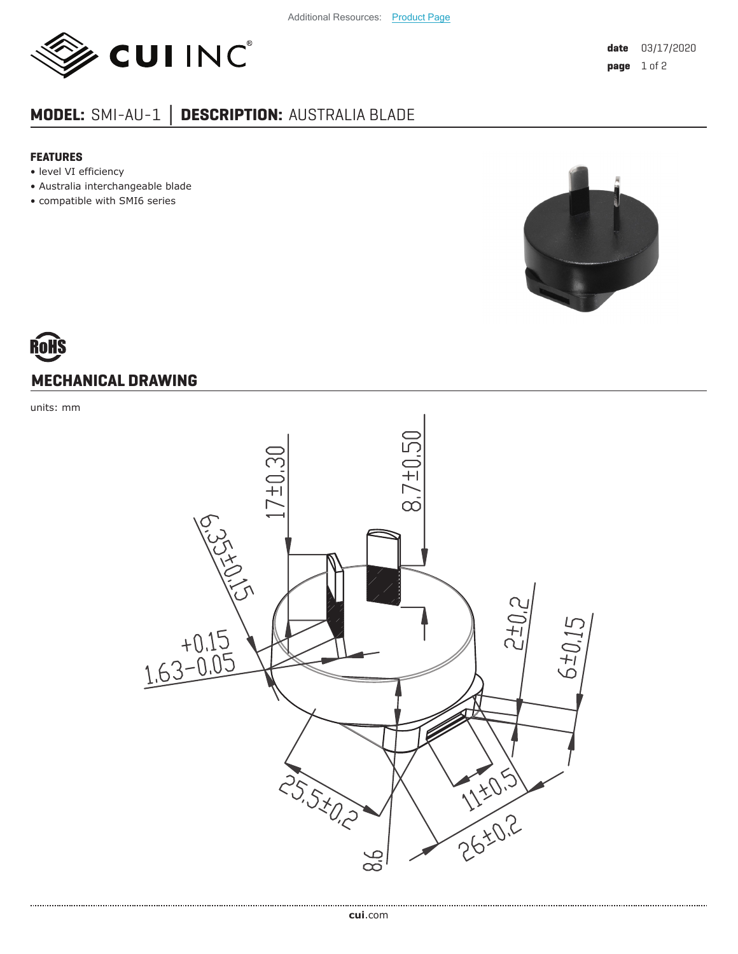

## **MODEL:** SMI-AU-1 **│ DESCRIPTION:** AUSTRALIA BLADE

## **FEATURES**

- level VI efficiency
- Australia interchangeable blade
- compatible with SMI6 series



## **MECHANICAL DRAWING**

units: mm